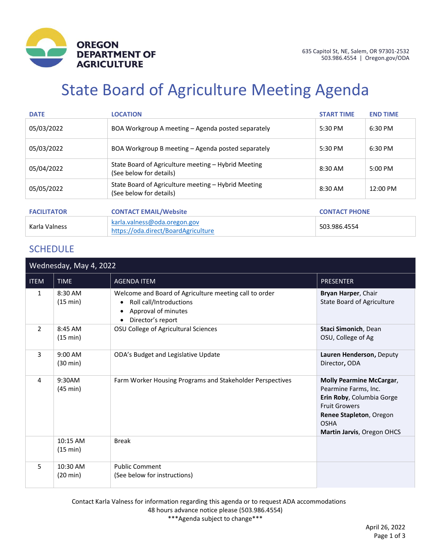

# State Board of Agriculture Meeting Agenda

| <b>DATE</b>        | <b>LOCATION</b>                                                                | <b>START TIME</b>    | <b>END TIME</b> |
|--------------------|--------------------------------------------------------------------------------|----------------------|-----------------|
| 05/03/2022         | BOA Workgroup A meeting – Agenda posted separately                             | $5:30$ PM            | $6:30$ PM       |
| 05/03/2022         | BOA Workgroup B meeting – Agenda posted separately                             | $5:30$ PM            | 6:30 PM         |
| 05/04/2022         | State Board of Agriculture meeting – Hybrid Meeting<br>(See below for details) | 8:30 AM              | $5:00$ PM       |
| 05/05/2022         | State Board of Agriculture meeting - Hybrid Meeting<br>(See below for details) | 8:30 AM              | 12:00 PM        |
|                    |                                                                                |                      |                 |
| <b>FACILITATOR</b> | <b>CONTACT EMAIL/Website</b>                                                   | <b>CONTACT PHONE</b> |                 |
| Karla Valness      | karla.valness@oda.oregon.gov<br>https://oda.direct/BoardAgriculture            | 503.986.4554         |                 |

## **SCHEDULE**

| Wednesday, May 4, 2022   |                                |                                                                                                                                                 |                                                                                                                                                                                      |
|--------------------------|--------------------------------|-------------------------------------------------------------------------------------------------------------------------------------------------|--------------------------------------------------------------------------------------------------------------------------------------------------------------------------------------|
| <b>ITEM</b>              | <b>TIME</b>                    | <b>AGENDA ITEM</b>                                                                                                                              | <b>PRESENTER</b>                                                                                                                                                                     |
| $\mathbf{1}$             | 8:30 AM<br>(15 min)            | Welcome and Board of Agriculture meeting call to order<br>Roll call/Introductions<br>$\bullet$<br>Approval of minutes<br>٠<br>Director's report | Bryan Harper, Chair<br>State Board of Agriculture                                                                                                                                    |
| $\overline{\phantom{a}}$ | 8:45 AM<br>(15 min)            | OSU College of Agricultural Sciences                                                                                                            | Staci Simonich, Dean<br>OSU, College of Ag                                                                                                                                           |
| 3                        | 9:00 AM<br>$(30 \text{ min})$  | ODA's Budget and Legislative Update                                                                                                             | Lauren Henderson, Deputy<br>Director, ODA                                                                                                                                            |
| 4                        | 9:30AM<br>$(45 \text{ min})$   | Farm Worker Housing Programs and Stakeholder Perspectives                                                                                       | <b>Molly Pearmine McCargar,</b><br>Pearmine Farms, Inc.<br>Erin Roby, Columbia Gorge<br><b>Fruit Growers</b><br>Renee Stapleton, Oregon<br><b>OSHA</b><br>Martin Jarvis, Oregon OHCS |
|                          | 10:15 AM<br>(15 min)           | <b>Break</b>                                                                                                                                    |                                                                                                                                                                                      |
| 5                        | 10:30 AM<br>$(20 \text{ min})$ | <b>Public Comment</b><br>(See below for instructions)                                                                                           |                                                                                                                                                                                      |

Contact Karla Valness for information regarding this agenda or to request ADA accommodations 48 hours advance notice please (503.986.4554) \*\*\*Agenda subject to change\*\*\*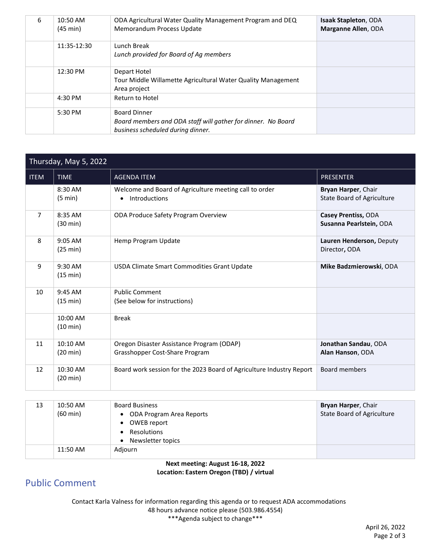| 6 | 10:50 AM<br>$(45 \text{ min})$ | ODA Agricultural Water Quality Management Program and DEQ<br>Memorandum Process Update                                   | <b>Isaak Stapleton, ODA</b><br>Marganne Allen, ODA |
|---|--------------------------------|--------------------------------------------------------------------------------------------------------------------------|----------------------------------------------------|
|   | 11:35-12:30                    | Lunch Break<br>Lunch provided for Board of Ag members                                                                    |                                                    |
|   | 12:30 PM                       | Depart Hotel<br>Tour Middle Willamette Agricultural Water Quality Management<br>Area project                             |                                                    |
|   | 4:30 PM                        | Return to Hotel                                                                                                          |                                                    |
|   | 5:30 PM                        | <b>Board Dinner</b><br>Board members and ODA staff will gather for dinner. No Board<br>business scheduled during dinner. |                                                    |

| Thursday, May 5, 2022 |                                |                                                                                      |                                                   |
|-----------------------|--------------------------------|--------------------------------------------------------------------------------------|---------------------------------------------------|
| <b>ITEM</b>           | <b>TIME</b>                    | <b>AGENDA ITEM</b>                                                                   | <b>PRESENTER</b>                                  |
|                       | 8:30 AM<br>(5 min)             | Welcome and Board of Agriculture meeting call to order<br>Introductions<br>$\bullet$ | Bryan Harper, Chair<br>State Board of Agriculture |
| 7                     | 8:35 AM<br>$(30 \text{ min})$  | ODA Produce Safety Program Overview                                                  | Casey Prentiss, ODA<br>Susanna Pearlstein, ODA    |
| 8                     | $9:05$ AM<br>(25 min)          | Hemp Program Update                                                                  | Lauren Henderson, Deputy<br>Director, ODA         |
| 9                     | 9:30 AM<br>(15 min)            | USDA Climate Smart Commodities Grant Update                                          | Mike Badzmierowski, ODA                           |
| 10                    | $9:45$ AM<br>(15 min)          | <b>Public Comment</b><br>(See below for instructions)                                |                                                   |
|                       | 10:00 AM<br>$(10 \text{ min})$ | <b>Break</b>                                                                         |                                                   |
| 11                    | 10:10 AM<br>$(20 \text{ min})$ | Oregon Disaster Assistance Program (ODAP)<br>Grasshopper Cost-Share Program          | Jonathan Sandau, ODA<br>Alan Hanson, ODA          |
| 12                    | 10:30 AM<br>(20 min)           | Board work session for the 2023 Board of Agriculture Industry Report                 | <b>Board members</b>                              |

| 13 | 10:50 AM           | <b>Board Business</b>          | Bryan Harper, Chair        |
|----|--------------------|--------------------------------|----------------------------|
|    | $(60 \text{ min})$ | • ODA Program Area Reports     | State Board of Agriculture |
|    |                    | OWEB report<br>$\bullet$       |                            |
|    |                    | Resolutions                    |                            |
|    |                    | Newsletter topics<br>$\bullet$ |                            |
|    | 11:50 AM           | Adjourn                        |                            |
|    |                    |                                |                            |

**Next meeting: August 16-18, 2022 Location: Eastern Oregon (TBD) / virtual**

## Public Comment

Contact Karla Valness for information regarding this agenda or to request ADA accommodations 48 hours advance notice please (503.986.4554) \*\*\*Agenda subject to change\*\*\*